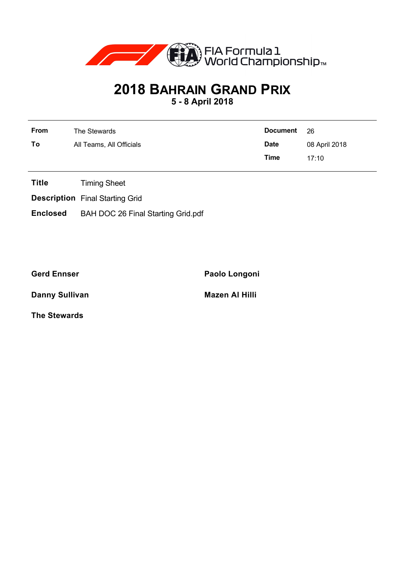

## **2018 BAHRAIN GRAND PRIX**

**5 - 8 April 2018**

| From | The Stewards             | <b>Document</b> | -26           |
|------|--------------------------|-----------------|---------------|
| To   | All Teams, All Officials | <b>Date</b>     | 08 April 2018 |
|      |                          | Time            | 17.10         |

- **Title** Timing Sheet
- **Description** Final Starting Grid
- **Enclosed** BAH DOC 26 Final Starting Grid.pdf

**Gerd Ennser Paolo Longoni**

**Danny Sullivan Mazen Al Hilli** 

**The Stewards**